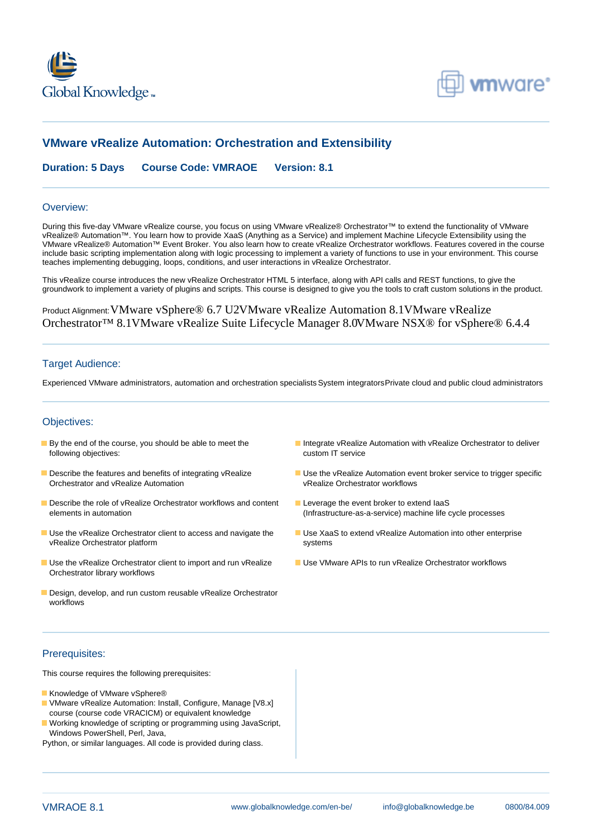



# **VMware vRealize Automation: Orchestration and Extensibility**

**Duration: 5 Days Course Code: VMRAOE Version: 8.1**

#### Overview:

During this five-day VMware vRealize course, you focus on using VMware vRealize® Orchestrator™ to extend the functionality of VMware vRealize® Automation™. You learn how to provide XaaS (Anything as a Service) and implement Machine Lifecycle Extensibility using the VMware vRealize® Automation™ Event Broker. You also learn how to create vRealize Orchestrator workflows. Features covered in the course include basic scripting implementation along with logic processing to implement a variety of functions to use in your environment. This course teaches implementing debugging, loops, conditions, and user interactions in vRealize Orchestrator.

This vRealize course introduces the new vRealize Orchestrator HTML 5 interface, along with API calls and REST functions, to give the groundwork to implement a variety of plugins and scripts. This course is designed to give you the tools to craft custom solutions in the product.

Product Alignment:VMware vSphere® 6.7 U2VMware vRealize Automation 8.1VMware vRealize Orchestrator™ 8.1VMware vRealize Suite Lifecycle Manager 8.0VMware NSX® for vSphere® 6.4.4

#### Target Audience:

Experienced VMware administrators, automation and orchestration specialists System integratorsPrivate cloud and public cloud administrators

#### Objectives:

- following objectives:
- Orchestrator and vRealize Automation
- Describe the role of vRealize Orchestrator workflows and content Leverage the event broker to extend laaS elements in automation (Infrastructure-as-a-service) machine life cycle processes
- Use the vRealize Orchestrator client to access and navigate the Use XaaS to extend vRealize Automation into other enterprise vRealize Orchestrator platform systems
- Use the vRealize Orchestrator client to import and run vRealize Use VMware APIs to run vRealize Orchestrator workflows Orchestrator library workflows
- Design, develop, and run custom reusable vRealize Orchestrator workflows
- **By the end of the course, you should be able to meet the** Integrate vRealize Automation with vRealize Orchestrator to deliver custom IT service
- Describe the features and benefits of integrating vRealize USE the vRealize Automation event broker service to trigger specific<br>Orchestrator and vRealize Automation variable vRealize Orchestrator workflows
	-
	-
	-

### Prerequisites:

This course requires the following prerequisites:

- Knowledge of VMware vSphere®
- VMware vRealize Automation: Install, Configure, Manage [V8.x] course (course code VRACICM) or equivalent knowledge
- Working knowledge of scripting or programming using JavaScript, Windows PowerShell, Perl, Java,
- Python, or similar languages. All code is provided during class.